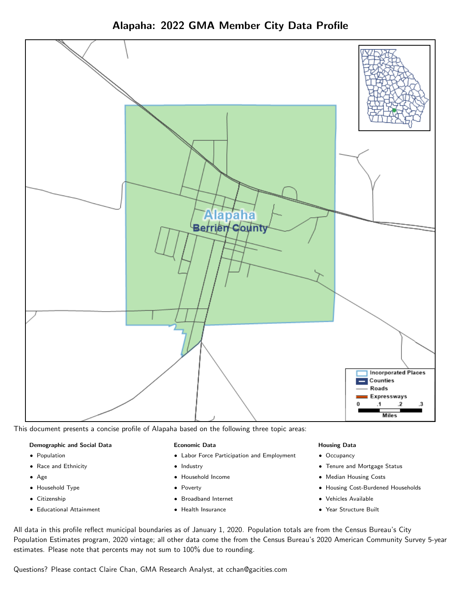



This document presents a concise profile of Alapaha based on the following three topic areas:

## Demographic and Social Data

- **•** Population
- Race and Ethnicity
- Age
- Household Type
- **Citizenship**
- Educational Attainment

#### Economic Data

- Labor Force Participation and Employment
- Industry
- Household Income
- Poverty
- Broadband Internet
- Health Insurance

#### Housing Data

- Occupancy
- Tenure and Mortgage Status
- Median Housing Costs
- Housing Cost-Burdened Households
- Vehicles Available
- Year Structure Built

All data in this profile reflect municipal boundaries as of January 1, 2020. Population totals are from the Census Bureau's City Population Estimates program, 2020 vintage; all other data come the from the Census Bureau's 2020 American Community Survey 5-year estimates. Please note that percents may not sum to 100% due to rounding.

Questions? Please contact Claire Chan, GMA Research Analyst, at [cchan@gacities.com.](mailto:cchan@gacities.com)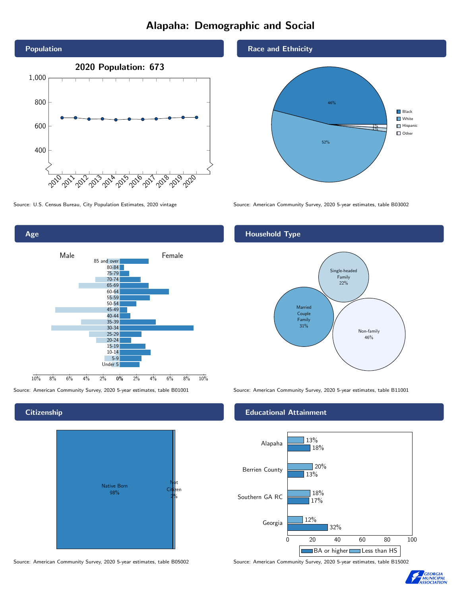# Alapaha: Demographic and Social



Source: U.S. Census Bureau, City Population Estimates, 2020 vintage Source: American Community Survey, 2020 5-year estimates, table B03002

Age 0% 2% 4% 6% 8% 10% Male <u>John Halle</u> Female 10% 8% 6% 4% 2% 85 and over 80-84 75-79 70-74 65-69 60-64 55-59 50-54 45-49 40-44 35-39 30-34 25-29 20-24 15-19  $10-14$ 5-9 Under 5

## **Citizenship**



Source: American Community Survey, 2020 5-year estimates, table B05002 Source: American Community Survey, 2020 5-year estimates, table B15002

## Race and Ethnicity



# Household Type



Source: American Community Survey, 2020 5-year estimates, table B01001 Source: American Community Survey, 2020 5-year estimates, table B11001

## Educational Attainment



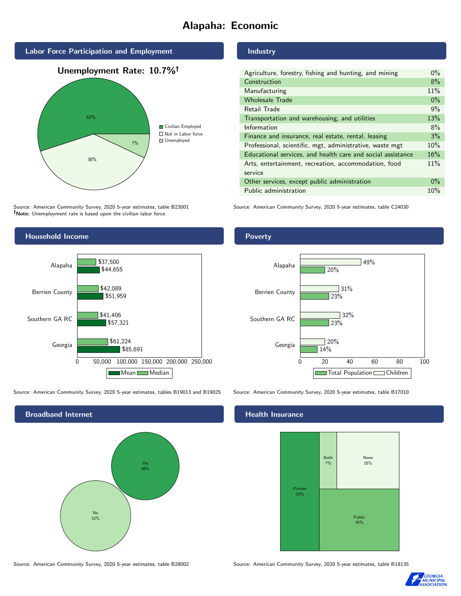# Alapaha: Economic



Source: American Community Survey, 2020 5-year estimates, table B23001 Note: Unemployment rate is based upon the civilian labor force.

## Industry

| Agriculture, forestry, fishing and hunting, and mining      | $0\%$ |
|-------------------------------------------------------------|-------|
| Construction                                                | 8%    |
| Manufacturing                                               | 11%   |
| <b>Wholesale Trade</b>                                      | $0\%$ |
| Retail Trade                                                | 9%    |
| Transportation and warehousing, and utilities               | 13%   |
| Information                                                 | 8%    |
| Finance and insurance, real estate, rental, leasing         | 3%    |
| Professional, scientific, mgt, administrative, waste mgt    | 10%   |
| Educational services, and health care and social assistance | 16%   |
| Arts, entertainment, recreation, accommodation, food        | 11%   |
| service                                                     |       |
| Other services, except public administration                | $0\%$ |
| Public administration                                       | 10%   |
|                                                             |       |

Source: American Community Survey, 2020 5-year estimates, table C24030



Source: American Community Survey, 2020 5-year estimates, tables B19013 and B19025 Source: American Community Survey, 2020 5-year estimates, table B17010

Broadband Internet No 52% Yes 48%

### Health Insurance



Source: American Community Survey, 2020 5-year estimates, table B28002 Source: American Community Survey, 2020 5-year estimates, table B18135



## Poverty